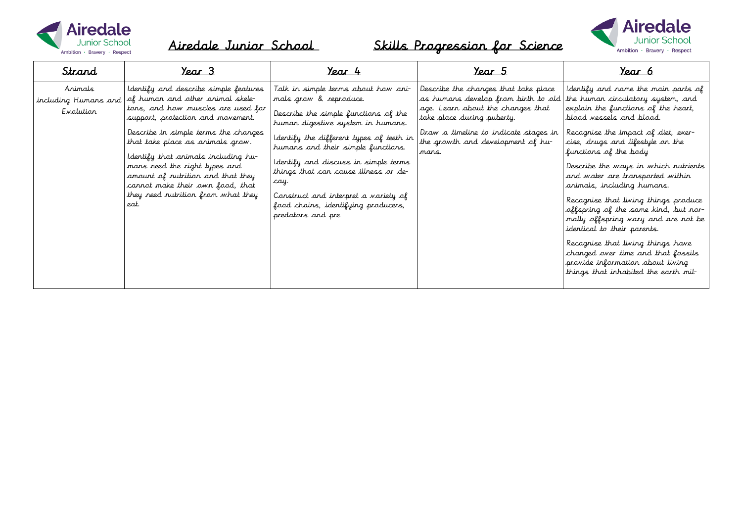



| Strand                                       | <u>Year 3</u>                                                                                                                                                                                                                                                                                                                                                                                                                     | <u>Year 4</u>                                                                                                                                                                                                                                                                                                                                                                                                             | <u>Year 5</u>                                                                                                                                                                                                                           | <u>Year 6</u>                                                                                                                                                                                                                                                                                                                                                                                                                                                                                                                                                                                                                                                           |
|----------------------------------------------|-----------------------------------------------------------------------------------------------------------------------------------------------------------------------------------------------------------------------------------------------------------------------------------------------------------------------------------------------------------------------------------------------------------------------------------|---------------------------------------------------------------------------------------------------------------------------------------------------------------------------------------------------------------------------------------------------------------------------------------------------------------------------------------------------------------------------------------------------------------------------|-----------------------------------------------------------------------------------------------------------------------------------------------------------------------------------------------------------------------------------------|-------------------------------------------------------------------------------------------------------------------------------------------------------------------------------------------------------------------------------------------------------------------------------------------------------------------------------------------------------------------------------------------------------------------------------------------------------------------------------------------------------------------------------------------------------------------------------------------------------------------------------------------------------------------------|
| Animals<br>including Humans and<br>Evolution | I dentify and describe simple features<br>of human and other animal skele-<br>tons, and how muscles are used for<br>support, protection and movement.<br>Describe in simple terms the changes<br>that take place as animals grow.<br>I dentify that animals including hu-<br>mans need the right types and<br>amount of nutrition and that they<br>cannot make their own food, that<br>they need nutrition from what they<br>eat. | Talk in simple terms about how ani-<br>mals grow & reproduce.<br>Describe the simple functions of the<br>human digestive system in humans.<br>I dentify the different types of teeth in<br>humans and their simple functions.<br>Identify and discuss in simple terms<br>things that can cause illness or de-<br>cay.<br>Construct and interpret a variety of<br>food chains, identifying producers,<br>predators and pre | Describe the changes that take place<br>as humans develop from birth to old  <br>age. Learn about the changes that<br>take place during puberty.<br>Draw a timeline to indicate stages in<br>the growth and development of hu-<br>mans. | I dentify and name the main parts of<br>the human circulatory system, and<br>explain the functions of the heart,<br>blood vessels and blood.<br>Recognise the impact of diet, exer-<br>cise, drugs and lifestyle on the<br>functions of the body<br>Describe the ways in which nutrients<br>and water are transported within<br>animals, including humans.<br>Recognise that living things produce<br>offspring of the same kind, but nor-<br>mally offspring vary and are not be<br>identical to their parents.<br>Recognise that living things have<br>changed over time and that fossils<br>provide information about living<br>things that inhabited the earth mil- |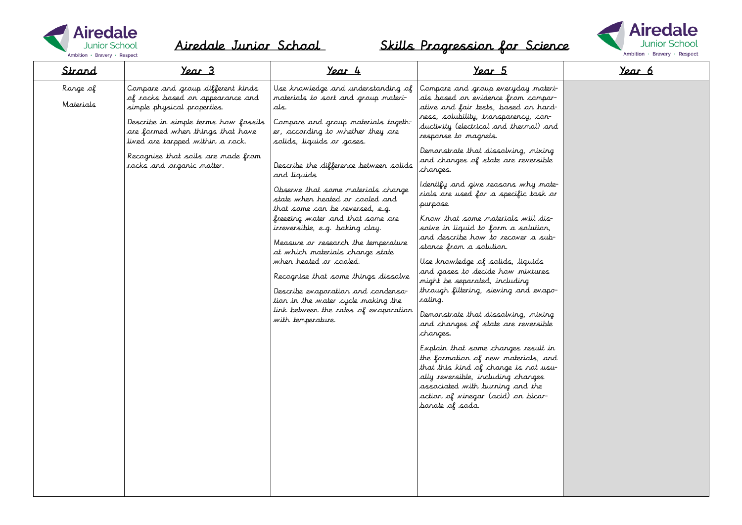



| Strand                | Year 3                                                                                                                                                                                                                                                                                  | Year 4                                                                                                                                                                                                                                                                                                                                                                                                                                                                                                                                                                                                                                                                                                                      | Year 5                                                                                                                                                                                                                                                                                                                                                                                                                                                                                                                                                                                                                                                                                                                                                                                                                                                                                                                                                                                                                                                                        | Year 6 |
|-----------------------|-----------------------------------------------------------------------------------------------------------------------------------------------------------------------------------------------------------------------------------------------------------------------------------------|-----------------------------------------------------------------------------------------------------------------------------------------------------------------------------------------------------------------------------------------------------------------------------------------------------------------------------------------------------------------------------------------------------------------------------------------------------------------------------------------------------------------------------------------------------------------------------------------------------------------------------------------------------------------------------------------------------------------------------|-------------------------------------------------------------------------------------------------------------------------------------------------------------------------------------------------------------------------------------------------------------------------------------------------------------------------------------------------------------------------------------------------------------------------------------------------------------------------------------------------------------------------------------------------------------------------------------------------------------------------------------------------------------------------------------------------------------------------------------------------------------------------------------------------------------------------------------------------------------------------------------------------------------------------------------------------------------------------------------------------------------------------------------------------------------------------------|--------|
| Range of<br>Materials | Compare and group different kinds<br>of rocks based on appearance and<br>simple physical properties.<br>Describe in simple terms how fossils<br>are formed when things that have<br>lived are tarpped within a rock.<br>Recognise that soils are made from<br>rocks and organic matter. | Use knowledge and understanding of<br>materials to sort and group materi-<br>als.<br>Compare and group materials togeth-<br>er, according to whether they are<br>solids, liquids or gases.<br>Describe the difference between solids<br>and liquids<br>Observe that some materials change<br>state when heated ar cooled and<br>that some can be reversed, e.g.<br>freezing water and that some are<br>irreversible, e.g. baking clay.<br>Measure or research the temperature<br>at which materials change state<br>when heated ar caaled.<br>Recognise that some things dissolve<br>Describe evaporation and condensa-<br>tion in the water cycle making the<br>link between the rates of evaporation<br>with temperature. | Compare and group everyday materi-<br>als based on evidence from compar-<br>ative and fair tests, based on hard-<br>ness, solubility, transparency, con-<br>ductivity (electrical and thermal) and<br>response to magnets.<br>Demonstrate that dissolving, mixing<br>and changes of state are reversible<br>changes.<br>Identify and give reasons why mate-<br>rials are used for a specific task or<br>purpose.<br>Krow that some materials will dis-<br>solve in liquid to form a solution,<br>and describe how to recover a sub-<br>stance from a solution.<br>Use knowledge of solids, liquids<br>and gases to decide how mixtures<br>might be separated, including<br>through filtering, sieving and evapo-<br>rating.<br>Demonstrate that dissolving, mixing<br>and changes of state are reversible<br>changes.<br>Explain that some changes result in<br>the formation of new materials, and<br>that this kind of change is not usu-<br>ally reversible, including changes<br>associated with burning and the<br>action of vinegar (acid) on bicar-<br>barate of sada. |        |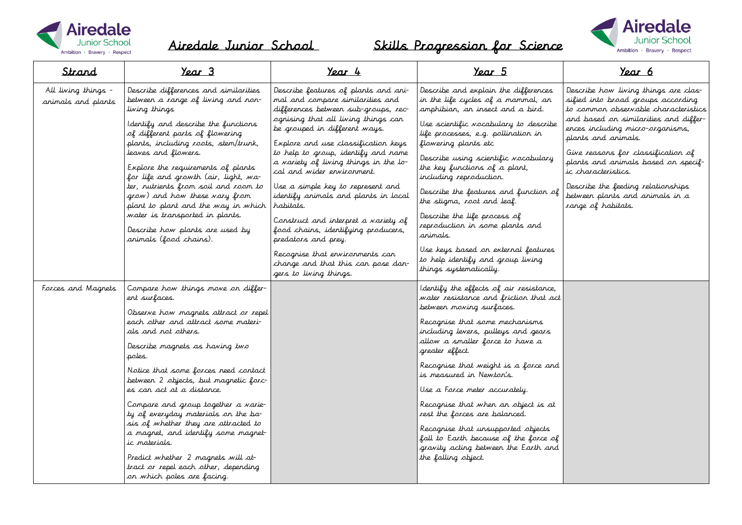



| Strand                                    | Year 3                                                                                                                                                                                                                                                                                                                                                                                                                                                                                                                                                                                                        | Year 4                                                                                                                                                                                                                                                                                                                                                                                                                                                                                                                                                                                                                                           | Year 5                                                                                                                                                                                                                                                                                                                                                                                                                                                                                                                                                                                 | Year 6                                                                                                                                                                                                                                                                                                                                                                                                                    |
|-------------------------------------------|---------------------------------------------------------------------------------------------------------------------------------------------------------------------------------------------------------------------------------------------------------------------------------------------------------------------------------------------------------------------------------------------------------------------------------------------------------------------------------------------------------------------------------------------------------------------------------------------------------------|--------------------------------------------------------------------------------------------------------------------------------------------------------------------------------------------------------------------------------------------------------------------------------------------------------------------------------------------------------------------------------------------------------------------------------------------------------------------------------------------------------------------------------------------------------------------------------------------------------------------------------------------------|----------------------------------------------------------------------------------------------------------------------------------------------------------------------------------------------------------------------------------------------------------------------------------------------------------------------------------------------------------------------------------------------------------------------------------------------------------------------------------------------------------------------------------------------------------------------------------------|---------------------------------------------------------------------------------------------------------------------------------------------------------------------------------------------------------------------------------------------------------------------------------------------------------------------------------------------------------------------------------------------------------------------------|
| All living things -<br>animals and plants | Describe differences and similarities<br>between a range of living and non-<br>living things<br>Identify and describe the functions<br>of different parts of flowering<br>plants, including roots, stem/trunk,<br>leaves and flowers.<br>Explore the requirements of plants<br>for life and growth (air, light, wa-<br>ter, nutrients from soil and room to<br>grow) and how these vary from<br>plant to plant and the way in which<br>water is transported in plants.<br>Describe how plants are used by<br>animals (food chains).                                                                           | Describe features of plants and ani-<br>mal and compare similarities and<br>differences between sub-groups, rec-<br>ognising that all living things can<br>be grouped in different ways.<br>Explore and use classification keys<br>to help to group, identify and name<br>a variety of living things in the lo-<br>cal and wider environment.<br>Use a simple key to represent and<br>identify animals and plants in local<br>habitats.<br>Construct and interpret a variety of<br>food chains, identifying producers,<br>predators and prey.<br>Recognise that environments can<br>change and that this can pose dan-<br>gers to living things. | Describe and explain the differences<br>in the life cycles of a mammal, an<br>amphibian, an insect and a bird.<br>Use scientific vocabulary to describe<br>life processes, e.g. pollination in<br>flowering plants etc<br>Describe using scientific vocabulary<br>the key functions of a plant,<br>including reproduction.<br>Describe the features and function of<br>the stigma, root and leaf.<br>Describe the life process of<br>reproduction in some plants and<br>animals.<br>Use keys based on external features<br>to help identify and group living<br>things systematically. | Describe how living things are clas-<br>sified into broad groups according<br>to common observable characteristics<br>and based on similarities and differ-<br>ences including micro-organisms,<br>plants and animals.<br>Give reasons for classification of<br>plants and animals based on specif-<br>ic characteristics.<br>Describe the feeding relationships<br>between plants and animals in a<br>range of habitats. |
| Forces and Magnets                        | Compare how things move on differ-<br>ent surfaces.<br>Observe how magnets attract or repel<br>each other and attract some materi-<br>als and not others.<br>Describe magnets as having two<br>poles.<br>Notice that some forces need contact<br>between 2 objects, but magnetic forc-<br>es can act at a distance.<br>Compare and group together a varie-<br>ty of everyday materials on the ba-<br>sis of whether they are attracted to<br>a magnet, and identify some magnet-<br>ic materials.<br>Predict whether 2 magnets will at-<br>tract or repel each other, depending<br>on which poles are facing. |                                                                                                                                                                                                                                                                                                                                                                                                                                                                                                                                                                                                                                                  | Identify the effects of air resistance,<br>water resistance and friction that act<br>between moving surfaces.<br>Recognise that some mechanisms<br>including levers, pulleys and gears<br>allow a smaller force to have a<br>greater effect.<br>Recognise that weight is a force and<br>is measured in Newton's.<br>Use a Force meter accurately.<br>Recognise that when an object is at<br>rest the forces are balanced.<br>Recognise that unsupported objects<br>fall to Earth because of the force of<br>gravity acting between the Earth and<br>the falling object.                |                                                                                                                                                                                                                                                                                                                                                                                                                           |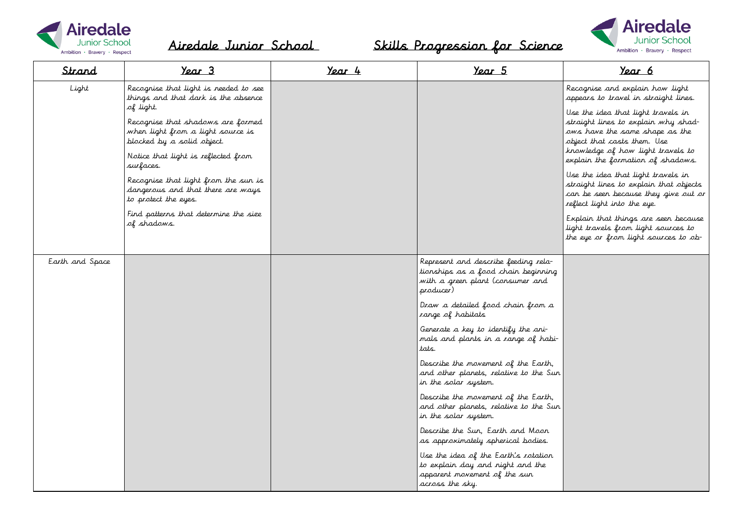



| Strand          | Year 3                                                                                                            | Year 4 | Year 5                                                                                                                       | Year 6                                                                                                                                              |
|-----------------|-------------------------------------------------------------------------------------------------------------------|--------|------------------------------------------------------------------------------------------------------------------------------|-----------------------------------------------------------------------------------------------------------------------------------------------------|
| Light           | Recognise that light is needed to see<br>things and that dark is the absence                                      |        |                                                                                                                              | Recognise and explain how light<br>appears to travel in straight lines.                                                                             |
|                 | of light.<br>Recognise that shadows are formed<br>when light from a light source is<br>blocked by a solid object. |        |                                                                                                                              | Use the idea that light travels in<br>straight lines to explain why shad-<br>ows have the same shape as the<br>object that casts them. Use          |
|                 | Notice that light is reflected from<br>surfaces.                                                                  |        |                                                                                                                              | knowledge of how light travels to<br>explain the formation of shadows.                                                                              |
|                 | Recognise that light from the sun is<br>dangerous and that there are ways<br>to protect the eyes.                 |        |                                                                                                                              | Use the idea that light travels in<br>straight lines to explain that objects<br>can be seen because they give out or<br>reflect light into the eye. |
|                 | Find patterns that determine the size<br>of shadows.                                                              |        |                                                                                                                              | Explain that things are seen because<br>light travels from light sources to<br>the eye or from light sources to ob-                                 |
| Earth and Space |                                                                                                                   |        | Represent and describe feeding rela-<br>tionships as a food chain beginning<br>with a green plant (consumer and<br>producer) |                                                                                                                                                     |
|                 |                                                                                                                   |        | Draw a detailed food chain from a<br>range of habitats                                                                       |                                                                                                                                                     |
|                 |                                                                                                                   |        | Generate a key to identify the ani-<br>mals and plants in a range of habi-<br>tats.                                          |                                                                                                                                                     |
|                 |                                                                                                                   |        | Describe the movement of the Earth,<br>and other planets, relative to the Sun<br>in the solar system.                        |                                                                                                                                                     |
|                 |                                                                                                                   |        | Describe the movement of the Earth,<br>and other planets, relative to the Sun<br>in the solar system.                        |                                                                                                                                                     |
|                 |                                                                                                                   |        | Describe the Sun, Earth and Moon<br>as approximately spherical bodies.                                                       |                                                                                                                                                     |
|                 |                                                                                                                   |        | Use the idea of the Earth's rotation<br>to explain day and night and the<br>apparent movement of the sun<br>across the sky.  |                                                                                                                                                     |